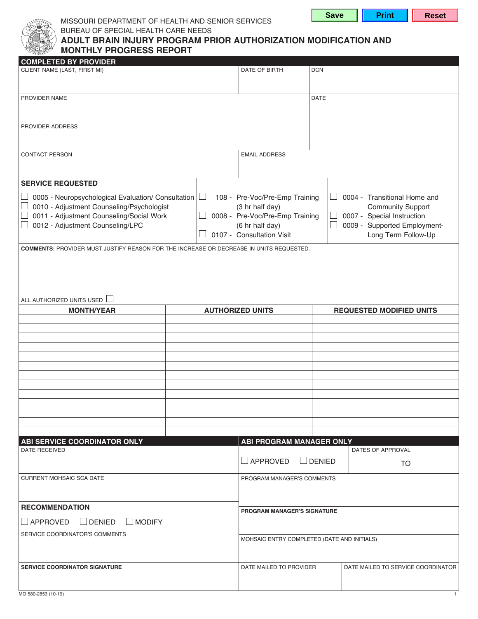



### MISSOURI DEPARTMENT OF HEALTH AND SENIOR SERVICES BUREAU OF SPECIAL HEALTH CARE NEEDS

| $\land$ ADULT BRAIN INJURY PROGRAM PRIOR AUTHORIZATION MODIFICATION AND |
|-------------------------------------------------------------------------|
| <b>MONTHLY PROGRESS REPORT</b>                                          |

# 0005 - Neuropsychological Evaluation/ Consultation  $\vert \Box \vert$  0008 - Pre-Voc/Pre-Emp Training 0107 - Consultation Visit 0004 - Transitional Home and 0007 - Special Instruction 0009 - Supported Employment-APPROVED ⊔DENIED **MONTHLY PROGRESS REPORT COMPLETED BY PROVIDER**  CLIENT NAME (LAST, FIRST MI) DATE OF BIRTH DCN PROVIDER NAME DATE RELEASED FOR DATE AND RELEASED FOR DATE AND RELEASED FOR DATE OF DATE OF DATE OF DATE OF DA PROVIDER ADDRESS **CONTACT PERSON EMAIL ADDRESS SERVICE REQUESTED**  □ 0010 - Adjustment Counseling/Psychologist □ 0011 - Adjustment Counseling/Social Work □ 0012 - Adjustment Counseling/LPC 108 - Pre-Voc/Pre-Emp Training (3 hr half day) (6 hr half day) Community Support Long Term Follow-Up **COMMENTS:** PROVIDER MUST JUSTIFY REASON FOR THE INCREASE OR DECREASE IN UNITS REQUESTED. ALL AUTHORIZED UNITS USED **MONTH/YEAR AUTHORIZED UNITS REQUESTED MODIFIED UNITS ABI SERVICE COORDINATOR ONLY**  DATE RECEIVED **ABI PROGRAM MANAGER ONLY**  DATES OF APPROVAL TO CURRENT MOHSAIC SCA DATE PROGRAM MANAGER'S COMMENTS **PROGRAM MANAGER'S SIGNATURE**

| <b>RECOMMENDATION</b>                             | <b>PROGRAM MANAGER'S SIGNATURE</b>          |                                    |
|---------------------------------------------------|---------------------------------------------|------------------------------------|
| $\Box$ DENIED<br>$\Box$ APPROVED<br>$\Box$ MODIFY |                                             |                                    |
| I SERVICE COORDINATOR'S COMMENTS                  | MOHSAIC ENTRY COMPLETED (DATE AND INITIALS) |                                    |
| <b>SERVICE COORDINATOR SIGNATURE</b>              | DATE MAILED TO PROVIDER                     | DATE MAILED TO SERVICE COORDINATOR |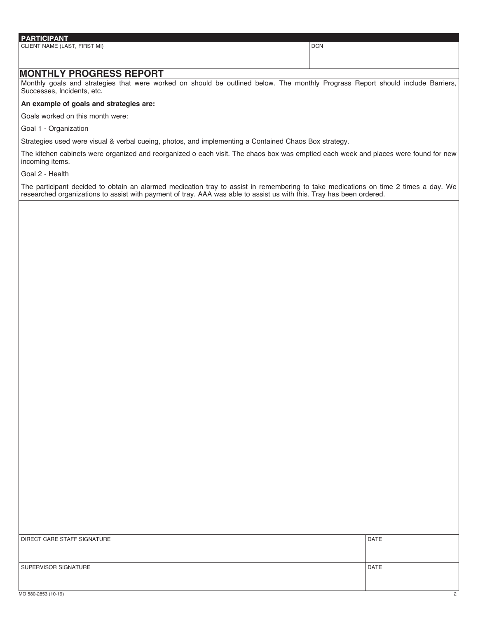## **PARTICIPANT**  CLIENT NAME (LAST, FIRST MI) DCN

### **MONTHLY PROGRESS REPORT**

Monthly goals and strategies that were worked on should be outlined below. The monthly Prograss Report should include Barriers, Successes, Incidents, etc.

#### **An example of goals and strategies are:**

Goals worked on this month were:

Goal 1 - Organization

Strategies used were visual & verbal cueing, photos, and implementing a Contained Chaos Box strategy.

The kitchen cabinets were organized and reorganized o each visit. The chaos box was emptied each week and places were found for new incoming items.

Goal 2 - Health

The participant decided to obtain an alarmed medication tray to assist in remembering to take medications on time 2 times a day. We researched organizations to assist with payment of tray. AAA was able to assist us with this. Tray has been ordered.

| <b>DATE</b> |
|-------------|
|             |
|             |
| <b>DATE</b> |
|             |
|             |
|             |